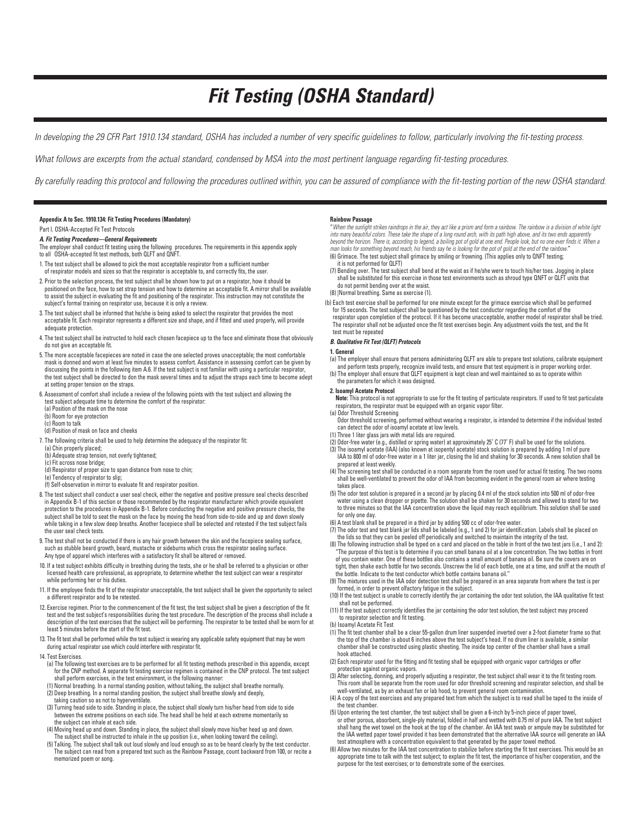# *Fit Testing (OSHA Standard)*

*In developing the 29 CFR Part 1910.134 standard, OSHA has included a number of very specific guidelines to follow, particularly involving the fit-testing process.*

*What follows are excerpts from the actual standard, condensed by MSA into the most pertinent language regarding fit-testing procedures.*

*By carefully reading this protocol and following the procedures outlined within, you can be assured of compliance with the fit-testing portion of the new OSHA standard.*

# **Appendix A to Sec. 1910.134: Fit Testing Procedures (Mandatory)**

# Part I. OSHA-Accepted Fit Test Protocols

# *A. Fit Testing Procedures—General Requirements*

- The employer shall conduct fit testing using the following procedures. The requirements in this appendix apply to all OSHA-accepted fit test methods, both QLFT and QNFT.
- 1. The test subject shall be allowed to pick the most acceptable respirator from a sufficient number
- of respirator models and sizes so that the respirator is acceptable to, and correctly fits, the user.
- 2. Prior to the selection process, the test subject shall be shown how to put on a respirator, how it should be positioned on the face, how to set strap tension and how to determine an acceptable fit. A mirror shall be available to assist the subject in evaluating the fit and positioning of the respirator. This instruction may not constitute the subject's formal training on respirator use, because it is only a review.
- 3. The test subject shall be informed that he/she is being asked to select the respirator that provides the most<br>acceptable fit. Each respirator represents a different size and shape, and if fitted and used properly, will adequate protection.
- 4. The test subject shall be instructed to hold each chosen facepiece up to the face and eliminate those that obviously do not give an acceptable fit.
- 5. The more acceptable facepieces are noted in case the one selected proves unacceptable; the most comfortable mask is donned and worn at least five minutes to assess comfort. Assistance in assessing comfort can be given by<br>discussing the points in the following item A.6. If the test subject is not familiar with using a particular the test subject shall be directed to don the mask several times and to adjust the straps each time to become adept at setting proper tension on the straps.
- 6. Assessment of comfort shall include a review of the following points with the test subject and allowing the test subject adequate time to determine the comfort of the respirator:
- (a) Position of the mask on the nose
- (b) Room for eye protection
- (c) Room to talk
- (d) Position of mask on face and cheeks
- 7. The following criteria shall be used to help determine the adequacy of the respirator fit:
- (a) Chin properly placed;
- (b) Adequate strap tension, not overly tightened; (c) Fit across nose bridge;
- (d) Respirator of proper size to span distance from nose to chin;
- (e) Tendency of respirator to slip;
- (f) Self-observation in mirror to evaluate fit and respirator position.
- 8. The test subject shall conduct a user seal check, either the negative and positive pressure seal checks described in Appendix B-1 of this section or those recommended by the respirator manufacturer which provide equivalent protection to the procedures in Appendix B-1. Before conducting the negative and positive pressure checks, the subject shall be told to seat the mask on the face by moving the head from side-to-side and up and down slowly while taking in a few slow deep breaths. Another facepiece shall be selected and retested if the test subject fails the user seal check tests.
- 9. The test shall not be conducted if there is any hair growth between the skin and the facepiece sealing surface, such as stubble beard growth, beard, mustache or sideburns which cross the respirator sealing surface. Any type of apparel which interferes with a satisfactory fit shall be altered or removed.
- 10. If a test subject exhibits difficulty in breathing during the tests, she or he shall be referred to a physician or other licensed health care professional, as appropriate, to determine whether the test subject can wear a respirator while performing her or his duties.
- 11. If the employee finds the fit of the respirator unacceptable, the test subject shall be given the opportunity to select a different respirator and to be retested.
- 12. Exercise regimen. Prior to the commencement of the fit test, the test subject shall be given a description of the fit test and the test subject's responsibilities during the test procedure. The description of the process shall include a description of the test exercises that the subject will be performing. The respirator to be tested shall be worn for at least 5 minutes before the start of the fit test.
- 13. The fit test shall be performed while the test subject is wearing any applicable safety equipment that may be worn during actual respirator use which could interfere with respirator fit.
- 14. Test Exercises.
- (a) The following test exercises are to be performed for all fit testing methods prescribed in this appendix, except for the CNP method. A separate fit testing exercise regimen is contained in the CNP protocol. The test subject shall perform exercises, in the test environment, in the following manner:
- (1) Normal breathing. In a normal standing position, without talking, the subject shall breathe normally. (2) Deep breathing. In a normal standing position, the subject shall breathe slowly and deeply, taking caution so as not to hyperventilate.
- (3) Turning head side to side. Standing in place, the subject shall slowly turn his/her head from side to side between the extreme positions on each side. The head shall be held at each extreme momentarily so the subject can inhale at each side.
- (4) Moving head up and down. Standing in place, the subject shall slowly move his/her head up and down. The subject shall be instructed to inhale in the up position (i.e., when looking toward the ceiling).
- (5) Talking. The subject shall talk out loud slowly and loud enough so as to be heard clearly by the test conductor. The subject can read from a prepared text such as the Rainbow Passage, count backward from 100, or recite a memorized poem or song.

#### **Rainbow Passage**

"*When the sunlight strikes raindrops in the air, they act like a prism and form a rainbow. The rainbow is a division of white light into many beautiful colors. These take the shape of a long round arch, with its path high above, and its two ends apparently into many beautiful colors. These take the shape of a long round arch, with its path high above, beyond the horizon. There is, according to legend, a boiling pot of gold at one end. People look, but no one ever finds it. When a*  man looks for something beyond reach, his friends say he is looking for the pot of gold at the end of the rainbow."<br>(6) Grimace. The test subject shall grimace by smiling or frowning. (This applies only to QNFT testing;

- it is not performed for QLFT)
- (7) Bending over. The test subject shall bend at the waist as if he/she were to touch his/her toes. Jogging in place<br>shall be substituted for this exercise in those test environments such as shroud type QNFT or QLFT units do not permit bending over at the waist.

# (8) |Normal breathing. Same as exercise (1).

(b) Each test exercise shall be performed for one minute except for the grimace exercise which shall be performed for 15 seconds. The test subject shall be questioned by the test conductor regarding the comfort of the respirator upon completion of the protocol. If it has become unacceptable, another model of respirator shall be tried. The respirator shall not be adjusted once the fit test exercises begin. Any adjustment voids the test, and the fit test must be repeated

#### *B. Qualitative Fit Test (QLFT) Protocols*

#### **1. General**

- (a) The employer shall ensure that persons administering QLFT are able to prepare test solutions, calibrate equipment and perform tests properly, recognize invalid tests, and ensure that test equipment is in proper working order. (b) The employer shall ensure that QLFT equipment is kept clean and well maintained so as to operate within
- the parameters for which it was designed.
- **2. Isoamyl Acetate Protocol**
- **Note:** This protocol is not appropriate to use for the fit testing of particulate respirators. If used to fit test particulate respirators, the respirator must be equipped with an organic vapor filter.
- (a) Odor Threshold Screening
- Odor threshold screening, performed without wearing a respirator, is intended to determine if the individual tested can detect the odor of isoamyl acetate at low levels.
- (1) Three 1 liter glass jars with metal lids are required.
- (2) Odor-free water (e.g., distilled or spring water) at approximately 25° C (77° F) shall be used for the solutions.<br>(3) The isoamyl acetate (IAA) (also known at isopentyl acetate) stock solution is prepared by adding 1 m
- IAA to 800 ml of odor-free water in a 1 liter jar, closing the lid and shaking for 30 seconds. A new solution shall be prepared at least weekly.
- (4) The screening test shall be conducted in a room separate from the room used for actual fit testing. The two rooms shall be well-ventilated to prevent the odor of IAA from becoming evident in the general room air where testing takes place.
- (5) The odor test solution is prepared in a second jar by placing 0.4 ml of the stock solution into 500 ml of odor-free water using a clean dropper or pipette. The solution shall be shaken for 30 seconds and allowed to stand for two to three minutes so that the IAA concentration above the liquid may reach equilibrium. This solution shall be used
- for only one day. (6) A test blank shall be prepared in a third jar by adding 500 cc of odor-free water.
- (7) The odor test and test blank jar lids shall be labeled (e.g., 1 and 2) for jar identification. Labels shall be placed on the lids so that they can be peeled off periodically and switched to maintain the integrity of the test.
- (8) The following instruction shall be typed on a card and placed on the table in front of the two test jars (i.e., 1 and 2): "The purpose of this test is to determine if you can smell banana oil at a low concentration. The two bottles in front of you contain water. One of these bottles also contains a small amount of banana oil. Be sure the covers are on tight, then shake each bottle for two seconds. Unscrew the lid of each bottle, one at a time, and sniff at the mouth of the bottle. Indicate to the test conductor which bottle contains banana oil.''
- (9) The mixtures used in the IAA odor detection test shall be prepared in an area separate from where the test is per formed, in order to prevent olfactory fatigue in the subject.
- (10) If the test subject is unable to correctly identify the jar containing the odor test solution, the IAA qualitative fit test shall not be performed.
- (11) If the test subject correctly identifies the jar containing the odor test solution, the test subject may proceed to respirator selection and fit testing.
- (b) Isoamyl Acetate Fit Test
- (1) The fit test chamber shall be a clear 55-gallon drum liner suspended inverted over a 2-foot diameter frame so that the top of the chamber is about 6 inches above the test subject's head. If no drum liner is available, a similar chamber shall be constructed using plastic sheeting. The inside top center of the chamber shall have a small hook attached.
- (2) Each respirator used for the fitting and fit testing shall be equipped with organic vapor cartridges or offer protection against organic vapors. (3) After selecting, donning, and properly adjusting a respirator, the test subject shall wear it to the fit testing room.
- This room shall be separate from the room used for odor threshold screening and respirator selection, and shall be
- well-ventilated, as by an exhaust fan or lab hood, to prevent general room contamination. (4) A copy of the test exercises and any prepared text from which the subject is to read shall be taped to the inside of the test chamber.
- (5) Upon entering the test chamber, the test subject shall be given a 6-inch by 5-inch piece of paper towel,<br>or other porous, absorbent, single-ply material, folded in half and wetted with 0.75 ml of pure IAA. The test sub shall hang the wet towel on the hook at the top of the chamber. An IAA test swab or ampule may be substituted for the IAA wetted paper towel provided it has been demonstrated that the alternative IAA source will generate an IAA test atmosphere with a concentration equivalent to that generated by the paper towel method.
- (6) Allow two minutes for the IAA test concentration to stabilize before starting the fit test exercises. This would be an appropriate time to talk with the test subject; to explain the fit test, the importance of his/her cooperation, and the purpose for the test exercises; or to demonstrate some of the exercises.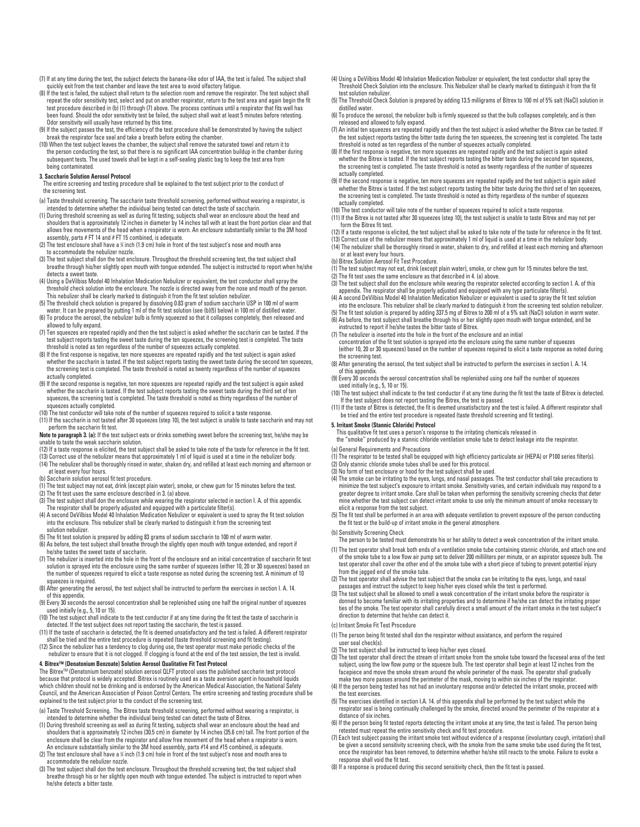- (7) If at any time during the test, the subject detects the banana-like odor of IAA, the test is failed. The subject shall quickly exit from the test chamber and leave the test area to avoid olfactory fatigue.
- (8) If the test is failed, the subject shall return to the selection room and remove the respirator. The test subject shall repeat the odor sensitivity test, select and put on another respirator, return to the test area and again begin the fit<br>test procedure described in (b) (1) through (7) above. The process continues until a respirator that f been found. Should the odor sensitivity test be failed, the subject shall wait at least 5 minutes before retesting. Odor sensitivity will usually have returned by this time.
- (9) If the subject passes the test, the efficiency of the test procedure shall be demonstrated by having the subject break the respirator face seal and take a breath before exiting the chamber.
- (10) When the test subject leaves the chamber, the subject shall remove the saturated towel and return it to the person conducting the test, so that there is no significant IAA concentration buildup in the chamber during subsequent tests. The used towels shall be kept in a self-sealing plastic bag to keep the test area from being contaminated.

#### **3. Saccharin Solution Aerosol Protocol**

- The entire screening and testing procedure shall be explained to the test subject prior to the conduct of the screening test.
- (a) Taste threshold screening. The saccharin taste threshold screening, performed without wearing a respirator, is
- intended to determine whether the individual being tested can detect the taste of saccharin. (1) During threshold screening as well as during fit testing, subjects shall wear an enclosure about the head and shoulders that is approximately 12 inches in diameter by 14 inches tall with at least the front portion clear and that allows free movements of the head when a respirator is worn. An enclosure substantially similar to the 3M hood assembly, parts # FT 14 and # FT 15 combined, is adequate.
- (2) The test enclosure shall have a % inch (1.9 cm) hole in front of the test subject's nose and mouth area to accommodate the nebulizer nozzle.
- (3) The test subject shall don the test enclosure. Throughout the threshold screening test, the test subject shall breathe through his/her slightly open mouth with tongue extended. The subject is instructed to report when he/she detects a sweet taste.
- (4) Using a DeVilbiss Model 40 Inhalation Medication Nebulizer or equivalent, the test conductor shall spray the threshold check solution into the enclosure. The nozzle is directed away from the nose and mouth of the person. This nebulizer shall be clearly marked to distinguish it from the fit test solution nebulizer.
- (5) The threshold check solution is prepared by dissolving 0.83 gram of sodium saccharin USP in 100 ml of warm
- water. It can be prepared by putting 1 ml of the fit test solution (see (b)(5) below) in 100 ml of distilled water.<br>(6) To produce the aerosol, the nebulizer bulb is firmly squeezed so that it collapses completely, then re allowed to fully expand.
- (7) Ten squeezes are repeated rapidly and then the test subject is asked whether the saccharin can be tasted. If the test subject reports tasting the sweet taste during the ten squeezes, the screening test is completed. The taste threshold is noted as ten regardless of the number of squeezes actually completed.
- (8) If the first response is negative, ten more squeezes are repeated rapidly and the test subject is again asked<br>whether the saccharin is tasted. If the test subject reports tasting the sweet taste during the second ten s the screening test is completed. The taste threshold is noted as twenty regardless of the number of squeezes actually completed.
- (9) If the second response is negative, ten more squeezes are repeated rapidly and the test subject is again asked whether the saccharin is tasted. If the test subject reports tasting the sweet taste during the third set of ten squeezes, the screening test is completed. The taste threshold is noted as thirty regardless of the number of squeezes actually completed.
- (10) The test conductor will take note of the number of squeezes required to solicit a taste response.
- (11) If the saccharin is not tasted after 30 squeezes (step 10), the test subject is unable to taste saccharin and may not perform the saccharin fit test.
- **Note to paragraph 3. (a):** If the test subject eats or drinks something sweet before the screening test, he/she may be unable to taste the weak saccharin solution.
- (12) If a taste response is elicited, the test subject shall be asked to take note of the taste for reference in the fit test.
- (13) Correct use of the nebulizer means that approximately 1 ml of liquid is used at a time in the nebulizer body. (14) The nebulizer shall be thoroughly rinsed in water, shaken dry, and refilled at least each morning and afternoon or
- at least every four hours.
- (b) Saccharin solution aerosol fit test procedure.
- (1) The test subject may not eat, drink (except plain water), smoke, or chew gum for 15 minutes before the test.
- (2) The fit test uses the same enclosure described in 3. (a) above. (3) The test subject shall don the enclosure while wearing the respirator selected in section I. A. of this appendix.
- The respirator shall be properly adjusted and equipped with a particulate filter(s). (4) A second DeVilbiss Model 40 Inhalation Medication Nebulizer or equivalent is used to spray the fit test solution into the enclosure. This nebulizer shall be clearly marked to distinguish it from the screening test
- solution nebulizer. (5) The fit test solution is prepared by adding 83 grams of sodium saccharin to 100 ml of warm water.
- (6) As before, the test subject shall breathe through the slightly open mouth with tongue extended, and report if
- he/she tastes the sweet taste of saccharin. (7) The nebulizer is inserted into the hole in the front of the enclosure and an initial concentration of saccharin fit test solution is sprayed into the enclosure using the same number of squeezes (either 10, 20 or 30 squeezes) based on the number of squeezes required to elicit a taste response as noted during the screening test. A minimum of 10
- squeezes is required. (8) After generating the aerosol, the test subject shall be instructed to perform the exercises in section I. A. 14. of this appendix.
- (9) Every 30 seconds the aerosol concentration shall be replenished using one half the original number of squeezes used initially (e.g., 5, 10 or 15).
- (10) The test subject shall indicate to the test conductor if at any time during the fit test the taste of saccharin is detected. If the test subject does not report tasting the saccharin, the test is passed. (11) If the taste of saccharin is detected, the fit is deemed unsatisfactory and the test is failed. A different respirator
- shall be tried and the entire test procedure is repeated (taste threshold screening and fit testing).
- 12) Since the nebulizer has a tendency to clog during use, the test operator must make periodic checks of the<br>nebulizer to ensure that it is not clogged. If clogging is found at the end of the test session, the test is inv

### **4. BitrexTM (Denatonium Benzoate) Solution Aerosol Qualitative Fit Test Protocol**

The BitrexTM (Denatonium benzoate) solution aerosol QLFT protocol uses the published saccharin test protocol because that protocol is widely accepted. Bitrex is routinely used as a taste aversion agent in household liquids which children should not be drinking and is endorsed by the American Medical Association, the National Safety Council, and the American Association of Poison Control Centers. The entire screening and testing procedure shall be explained to the test subject prior to the conduct of the screening test.

- (a) Taste Threshold Screening. The Bitrex taste threshold screening, performed without wearing a respirator, is
- intended to determine whether the individual being tested can detect the taste of Bitrex. (1) During threshold screening as well as during fit testing, subjects shall wear an enclosure about the head and shoulders that is approximately 12 inches (30.5 cm) in diameter by 14 inches (35.6 cm) tall. The front portion of the enclosure shall be clear from the respirator and allow free movement of the head when a respirator is worn.
- An enclosure substantially similar to the 3M hood assembly, parts #14 and #15 combined, is adequate. (2) The test enclosure shall have a % inch (1.9 cm) hole in front of the test subject's nose and mouth area to accommodate the nebulizer nozzle.
- (3) The test subject shall don the test enclosure. Throughout the threshold screening test, the test subject shall breathe through his or her slightly open mouth with tongue extended. The subject is instructed to report when he/she detects a bitter taste.
- (4) Using a DeVilbiss Model 40 Inhalation Medication Nebulizer or equivalent, the test conductor shall spray the<br>Threshold Check Solution into the enclosure. This Nebulizer shall be clearly marked to distinguish it from th test solution nebulizer.
- (5) The Threshold Check Solution is prepared by adding 13.5 milligrams of Bitrex to 100 ml of 5% salt (NaCl) solution in distilled water.
- (6) To produce the aerosol, the nebulizer bulb is firmly squeezed so that the bulb collapses completely, and is then released and allowed to fully expand.
- (7) An initial ten squeezes are repeated rapidly and then the test subject is asked whether the Bitrex can be tasted. If the test subject reports tasting the bitter taste during the ten squeezes, the screening test is completed. The taste
- threshold is noted as ten regardless of the number of squeezes actually completed. (8) If the first response is negative, ten more squeezes are repeated rapidly and the test subject is again asked whether the Bitrex is tasted. If the test subject reports tasting the bitter taste during the second ten squeezes, the screening test is completed. The taste threshold is noted as twenty regardless of the number of squeezes actually completed.
- (9) If the second response is negative, ten more squeezes are repeated rapidly and the test subject is again asked whether the Bitrex is tasted. If the test subject reports tasting the bitter taste during the third set of ten squeezes,<br>the screening test is completed. The taste threshold is noted as thirty regardless of the number of s actually completed.
- (10) The test conductor will take note of the number of squeezes required to solicit a taste response.
- (11) If the Bitrex is not tasted after 30 squeezes (step 10), the test subject is unable to taste Bitrex and may not per form the Bitrex fit test.
- (12) If a taste response is elicited, the test subject shall be asked to take note of the taste for reference in the fit test.
- (13) Correct use of the nebulizer means that approximately 1 ml of liquid is used at a time in the nebulizer body. (14) The nebulizer shall be thoroughly rinsed in water, shaken to dry, and refilled at least each morning and afternoon or at least every four hours.

#### (b) Bitrex Solution Aerosol Fit Test Procedure.

- (1) The test subject may not eat, drink (except plain water), smoke, or chew gum for 15 minutes before the test.
- (2) The fit test uses the same enclosure as that described in 4. (a) above.
- (3) The test subject shall don the enclosure while wearing the respirator selected according to section I. A. of this appendix. The respirator shall be properly adjusted and equipped with any type particulate filter(s).
- (4) A second DeVilbiss Model 40 Inhalation Medication Nebulizer or equivalent is used to spray the fit test solution
- into the enclosure. This nebulizer shall be clearly marked to distinguish it from the screening test solution nebulizer.<br>- (5) The fit test solution is prepared by adding 337.5 mg of Bitrex to 200 ml of a 5% salt (NaCl) so
- (6) As before, the test subject shall breathe through his or her slightly open mouth with tongue extended, and be
- instructed to report if he/she tastes the bitter taste of Bitrex. (7) The nebulizer is inserted into the hole in the front of the enclosure and an initial
- concentration of the fit test solution is sprayed into the enclosure using the same number of squeezes (either 10, 20 or 30 squeezes) based on the number of squeezes required to elicit a taste response as noted during the screening test.
- (8) After generating the aerosol, the test subject shall be instructed to perform the exercises in section I. A. 14. of this appendix.
- (9) Every 30 seconds the aerosol concentration shall be replenished using one half the number of squeezes used initially (e.g., 5, 10 or 15).
- (10) The test subject shall indicate to the test conductor if at any time during the fit test the taste of Bitrex is detected. If the test subject does not report tasting the Bitrex, the test is passed. (11) If the taste of Bitrex is detected, the fit is deemed unsatisfactory and the test is failed. A different respirator shall
- be tried and the entire test procedure is repeated (taste threshold screening and fit testing).

#### **5. Irritant Smoke (Stannic Chloride) Protocol**

This qualitative fit test uses a person's response to the irritating chemicals released in the "smoke'' produced by a stannic chloride ventilation smoke tube to detect leakage into the respirator.

(a) General Requirements and Precautions

- (1) The respirator to be tested shall be equipped with high efficiency particulate air (HEPA) or P100 series filter(s).
- (2) Only stannic chloride smoke tubes shall be used for this protocol. (3) No form of test enclosure or hood for the test subject shall be used.
- (4) The smoke can be irritating to the eyes, lungs, and nasal passages. The test conductor shall take precautions to minimize the test subject's exposure to irritant smoke. Sensitivity varies, and certain individuals may respond to a<br>greater degree to irritant smoke. Care shall be taken when performing the sensitivity screening checks th mine whether the test subject can detect irritant smoke to use only the minimum amount of smoke necessary to elicit a response from the test subject.
- (5) The fit test shall be performed in an area with adequate ventilation to prevent exposure of the person conducting the fit test or the build-up of irritant smoke in the general atmosphere.
- (b) Sensitivity Screening Check
	- The person to be tested must demonstrate his or her ability to detect a weak concentration of the irritant smoke.
- (1) The test operator shall break both ends of a ventilation smoke tube containing stannic chloride, and attach one end of the smoke tube to a low flow air pump set to deliver 200 milliliters per minute, or an aspirator squeeze bulb. The test operator shall cover the other end of the smoke tube with a short piece of tubing to prevent potential injury from the jagged end of the smoke tube.
- (2) The test operator shall advise the test subject that the smoke can be irritating to the eyes, lungs, and nasal passages and instruct the subject to keep his/her eyes closed while the test is performed. (3) The test subject shall be allowed to smell a weak concentration of the irritant smoke before the respirator is
- donned to become familiar with its irritating properties and to determine if he/she can detect the irritating proper ties of the smoke. The test operator shall carefully direct a small amount of the irritant smoke in the test subject's direction to determine that he/she can detect it.
- (c) Irritant Smoke Fit Test Procedure
- (1) The person being fit tested shall don the respirator without assistance, and perform the required user seal check(s).
- (2) The test subject shall be instructed to keep his/her eyes closed.
- (3) The test operator shall direct the stream of irritant smoke from the smoke tube toward the faceseal area of the test subject, using the low flow pump or the squeeze bulb. The test operator shall begin at least 12 inches from the facepiece and move the smoke stream around the whole perimeter of the mask. The operator shall gradually make two more passes around the perimeter of the mask, moving to within six inches of the respirator.
- (4) If the person being tested has not had an involuntary response and/or detected the irritant smoke, proceed with the test exercises. (5) The exercises identified in section I.A. 14. of this appendix shall be performed by the test subject while the
- respirator seal is being continually challenged by the smoke, directed around the perimeter of the respirator at a distance of six inches.
- (6) If the person being fit tested reports detecting the irritant smoke at any time, the test is failed. The person being retested must repeat the entire sensitivity check and fit test procedure.
- (7) Each test subject passing the irritant smoke test without evidence of a response (involuntary cough, irritation) shall be given a second sensitivity screening check, with the smoke from the same smoke tube used during the fit test, once the respirator has been removed, to determine whether he/she still reacts to the smoke. Failure to evoke a response shall void the fit test.
- (8) If a response is produced during this second sensitivity check, then the fit test is passed.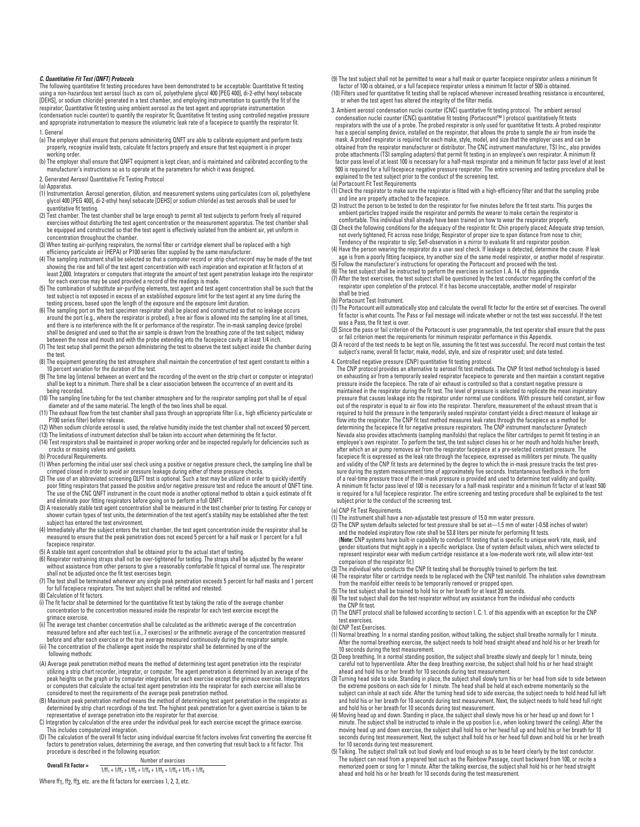#### *C. Quantitative Fit Test (QNFT) Protocols*

The following quantitative fit testing procedures have been demonstrated to be acceptable: Quantitative fit testing using a non-hazardous test aerosol (such as corn oil, polyethylene glycol 400 [PEG 400], di-2-ethyl hexyl sebacate [DEHS], or sodium chloride) generated in a test chamber, and employing instrumentation to quantify the fit of the respirator; Quantitative fit testing using ambient aerosol as the test agent and appropriate instrumentation (condensation nuclei counter) to quantify the respirator fit; Quantitative fit testing using controlled negative pressure and appropriate instrumentation to measure the volumetric leak rate of a facepiece to quantify the respirator fit. 1. General

- (a) The employer shall ensure that persons administering QNFT are able to calibrate equipment and perform tests properly, recognize invalid tests, calculate fit factors properly and ensure that test equipment is in proper working order.
- (b) The employer shall ensure that QNFT equipment is kept clean, and is maintained and calibrated according to the manufacturer's instructions so as to operate at the parameters for which it was designed.
- 2. Generated Aerosol Quantitative Fit Testing Protocol

(a) Apparatus.

- (1) Instrumentation. Aerosol generation, dilution, and measurement systems using particulates (corn oil, polyethylene glycol 400 [PEG 400], di-2-ethyl hexyl sebacate [DEHS] or sodium chloride) as test aerosols shall be used for quantitative fit testing.
- (2) Test chamber. The test chamber shall be large enough to permit all test subjects to perform freely all required exercises without disturbing the test agent concentration or the measurement apparatus. The test chamber shall be equipped and constructed so that the test agent is effectively isolated from the ambient air, yet uniform in concentration throughout the chamber.
- (3) When testing air-purifying respirators, the normal filter or cartridge element shall be replaced with a high efficiency particulate air (HEPA) or P100 series filter supplied by the same manufacturer.
- (4) The sampling instrument shall be selected so that a computer record or strip chart record may be made of the test showing the rise and fall of the test agent concentration with each inspiration and expiration at fit factors of at least 2,000. Integrators or computers that integrate the amount of test agent penetration leakage into the respirator for each exercise may be used provided a record of the readings is made.
- (5) The combination of substitute air-purifying elements, test agent and test agent concentration shall be such that the test subject is not exposed in excess of an established exposure limit for the test agent at any time during the testing process, based upon the length of the exposure and the exposure limit duration.
- (6) The sampling port on the test specimen respirator shall be placed and constructed so that no leakage occurs around the port (e.g., where the respirator is probed), a free air flow is allowed into the sampling line at all times, and there is no interference with the fit or performance of the respirator. The in-mask sampling device (probe) shall be designed and used so that the air sample is drawn from the breathing zone of the test subject, midway between the nose and mouth and with the probe extending into the facepiece cavity at least 1/4 inch. (7) The test setup shall permit the person administering the test to observe the test subject inside the chamber during
- the test.
- (8) The equipment generating the test atmosphere shall maintain the concentration of test agent constant to within a 10 percent variation for the duration of the test.
- (9) The time lag (interval between an event and the recording of the event on the strip chart or computer or integrator)<br>shall be kept to a minimum. There shall be a clear association between the occurrence of an event and being recorded.
- (10) The sampling line tubing for the test chamber atmosphere and for the respirator sampling port shall be of equal diameter and of the same material. The length of the two lines shall be equal.
- (11) The exhaust flow from the test chamber shall pass through an appropriate filter (i.e., high efficiency particulate or P100 series filter) before release.
- (12) When sodium chloride aerosol is used, the relative humidity inside the test chamber shall not exceed 50 percent.
- (13) The limitations of instrument detection shall be taken into account when determining the fit factor.
- (14) Test respirators shall be maintained in proper working order and be inspected regularly for deficiencies such as cracks or missing valves and gaskets.
- (b) Procedural Requirements.

(1) When performing the initial user seal check using a positive or negative pressure check, the sampling line shall be crimped closed in order to avoid air pressure leakage during either of these pressure checks.

- (2) The use of an abbreviated screening QLFT test is optional. Such a test may be utilized in order to quickly identify poor fitting respirators that passed the positive and/or negative pressure test and reduce the amount of QNFT time. The use of the CNC QNFT instrument in the count mode is another optional method to obtain a quick estimate of fit and eliminate poor fitting respirators before going on to perform a full QNFT.
- (3) A reasonably stable test agent concentration shall be measured in the test chamber prior to testing. For canopy or shower curtain types of test units, the determination of the test agent's stability may be established after the test subject has entered the test environment.
- (4) Immediately after the subject enters the test chamber, the test agent concentration inside the respirator shall be measured to ensure that the peak penetration does not exceed 5 percent for a half mask or 1 percent for a full facepiece respirator.
- (5) A stable test agent concentration shall be obtained prior to the actual start of testing.
- (6) Respirator restraining straps shall not be over-tightened for testing. The straps shall be adjusted by the wearer without assistance from other persons to give a reasonably comfortable fit typical of normal use. The respirator shall not be adjusted once the fit test exercises begin.
- (7) The test shall be terminated whenever any single peak penetration exceeds 5 percent for half masks and 1 percent for full facepiece respirators. The test subject shall be refitted and retested.

(8) Calculation of fit factors.

- (i) The fit factor shall be determined for the quantitative fit test by taking the ratio of the average chamber concentration to the concentration measured inside the respirator for each test exercise except the grimace exercise.
- (ii) The average test chamber concentration shall be calculated as the arithmetic average of the concentration measured before and after each test (i.e., 7 exercises) or the arithmetic average of the concentration measured before and after each exercise or the true average measured continuously during the respirator sample.
- (iii) The concentration of the challenge agent inside the respirator shall be determined by one of the following methods:
- (A) Average peak penetration method means the method of determining test agent penetration into the respirator utilizing a strip chart recorder, integrator, or computer. The agent penetration is determined by an average of the peak heights on the graph or by computer integration, for each exercise except the grimace exercise. Integrators or computers that calculate the actual test agent penetration into the respirator for each exercise will also be considered to meet the requirements of the average peak penetration method.
- (B) Maximum peak penetration method means the method of determining test agent penetration in the respirator as determined by strip chart recordings of the test. The highest peak penetration for a given exercise is taken to be representative of average penetration into the respirator for that exercise.
- C) Integration by calculation of the area under the individual peak for each exercise except the grimace exercise. This includes computerized integration. (D) The calculation of the overall fit factor using individual exercise fit factors involves first converting the exercise fit
- factors to penetration values, determining the average, and then converting that result back to a fit factor. This procedure is described in the following equation:

**Overall Fit Factor =**  $\frac{Number\ of\ exercises}{1/ff_1 + 1/ff_2 + 1/ff_3 + 1/ff_4 + 1/ff_5 + 1/ff_6 + 1/ff_7 + 1/ff_8 + 1/ff_9 + 1/ff_9 + 1/ff_9 + 1/ff_9 + 1/ff_0 + 1/ff_0 + 1/ff_0 + 1/ff_0 + 1/ff_0 + 1/ff_0 + 1/ff_0 + 1/ff_0 + 1/ff_0 + 1/ff_0 + 1/ff_0 + 1/ff_0 + 1/ff_0 + 1/ff_0 + 1/ff_0 +$ 

Where ff1, ff2, ff3, etc. are the fit factors for exercises 1, 2, 3, etc.

(9) The test subject shall not be permitted to wear a half mask or quarter facepiece respirator unless a minimum fit factor of 100 is obtained, or a full facepiece respirator unless a minimum fit factor of 500 is obtained.

(10) Filters used for quantitative fit testing shall be replaced whenever increased breathing resistance is encountered, or when the test agent has altered the integrity of the filter media.

- 3. Ambient aerosol condensation nuclei counter (CNC) quantitative fit testing protocol. The ambient aerosol condensation nuclei counter (CNC) quantitative fit testing (Portacount™ ) protocol quantitatively fit tests<br>respirators with the use of a probe. The probed respirator is only used for quantitative fit tests. A probed resp has a special sampling device, installed on the respirator, that allows the probe to sample the air from inside the mask. A probed respirator is required for each make, style, model, and size that the employer uses and can be<br>obtained from the respirator manufacturer or distributor. The CNC instrument manufacturer, TSI Inc., also provid probe attachments (TSI sampling adapters) that permit fit testing in an employee's own respirator. A minimum fit factor pass level of at least 100 is necessary for a half-mask respirator and a minimum fit factor pass level of at least<br>500 is required for a full facepiece negative pressure respirator. The entire screening and testing explained to the test subject prior to the conduct of the screening test. (a) Portacount Fit Test Requirements
- (1) Check the respirator to make sure the respirator is fitted with a high-efficiency filter and that the sampling probe and line are properly attached to the facepiece.
- (2) Instruct the person to be tested to don the respirator for five minutes before the fit test starts. This purges the ambient particles trapped inside the respirator and permits the wearer to make certain the respirator is comfortable. This individual shall already have been trained on how to wear the respirator properly.
- (3) Check the following conditions for the adequacy of the respirator fit: Chin properly placed; Adequate strap tension,<br>not overly tightened; Fit across nose bridge; Respirator of proper size to span distance from nose to Tendency of the respirator to slip; Self-observation in a mirror to evaluate fit and respirator position.
- A) Have the person wearing the respirator do a user seal check. If leakage is detected, determine the cause. If leak<br>age is from a poorly fitting facepiece, try another size of the same model respirator, or another model o (5) Follow the manufacturer's instructions for operating the Portacount and proceed with the test.
- 
- (6) The test subject shall be instructed to perform the exercises in section I. A. 14. of this appendix. (7) After the test exercises, the test subject shall be questioned by the test conductor regarding the comfort of the respirator upon completion of the protocol. If it has become unacceptable, another model of respirator shall be tried.
- (b) Portacount Test Instrument.
- (1) The Portacount will automatically stop and calculate the overall fit factor for the entire set of exercises. The overall fit factor is what counts. The Pass or Fail message will indicate whether or not the test was successful. If the test was a Pass, the fit test is over.
- (2) Since the pass or fail criterion of the Portacount is user programmable, the test operator shall ensure that the pass or fail criterion meet the requirements for minimum respirator performance in this Appendix.
- (3) A record of the test needs to be kept on file, assuming the fit test was successful. The record must contain the test subject's name; overall fit factor; make, model, style, and size of respirator used; and date tested.
- 4. Controlled negative pressure (CNP) quantitative fit testing protocol.

The CNP protocol provides an alternative to aerosol fit test methods. The CNP fit test method technology is based on exhausting air from a temporarily sealed respirator facepiece to generate and then maintain a constant negative pressure inside the facepiece. The rate of air exhaust is controlled so that a constant negative pressure is maintained in the respirator during the fit test. The level of pressure is selected to replicate the mean inspiratory pressure that causes leakage into the respirator under normal use conditions. With pressure held constant, air flow<br>out of the respirator is equal to air flow into the respirator. Therefore, measurement of the exhaust stre required to hold the pressure in the temporarily sealed respirator constant yields a direct measure of leakage air flow into the respirator. The CNP fit test method measures leak rates through the facepiece as a method for<br>determining the facepiece fit for negative pressure respirators. The CNP instrument manufacturer Dynatech Nevada also provides attachments (sampling manifolds) that replace the filter cartridges to permit fit testing in an employee's own respirator. To perform the test, the test subject closes his or her mouth and holds his/her breath, after which an air pump removes air from the respirator facepiece at a pre-selected constant pressure. The facepiece fit is expressed as the leak rate through the facepiece, expressed as milliliters per minute. The quality and validity of the CNP fit tests are determined by the degree to which the in-mask pressure tracks the test pressure during the system measurement time of approximately five seconds. Instantaneous feedback in the form of a real-time pressure trace of the in-mask pressure is provided and used to determine test validity and quality. A minimum fit factor pass level of 100 is necessary for a half-mask respirator and a minimum fit factor of at least 500 is required for a full facepiece respirator. The entire screening and testing procedure shall be explained to the test subject prior to the conduct of the screening test.

- (a) CNP Fit Test Requirements.
- (1) The instrument shall have a non-adjustable test pressure of 15.0 mm water pressure.
- (2) The CNP system defaults selected for test pressure shall be set at—1.5 mm of water (-0.58 inches of water) and the modeled inspiratory flow rate shall be 53.8 liters per minute for performing fit tests. (**Note:** CNP systems have built-in capability to conduct fit testing that is specific to unique work rate, mask, and gender situations that might apply in a specific workplace. Use of system default values, which were selected to represent respirator wear with medium cartridge resistance at a low-moderate work rate, will allow inter-test comparison of the respirator fit.)
- (3) The individual who conducts the CNP fit testing shall be thoroughly trained to perform the test. (4) The respirator filter or cartridge needs to be replaced with the CNP test manifold. The inhalation valve downstream
- from the manifold either needs to be temporarily removed or propped open.
- (5) The test subject shall be trained to hold his or her breath for at least 20 seconds.
- (6) The test subject shall don the test respirator without any assistance from the individual who conducts the CNP fit test.
- (7) The QNFT protocol shall be followed according to section I. C. 1. of this appendix with an exception for the CNP test exercises.
- (b) CNP Test Exercises.
- (1) Normal breathing. In a normal standing position, without talking, the subject shall breathe normally for 1 minute.<br>After the normal breathing exercise, the subject needs to hold head straight ahead and hold his or her 10 seconds during the test measurement.
- (2) Deep breathing. In a normal standing position, the subject shall breathe slowly and deeply for 1 minute, being careful not to hyperventilate. After the deep breathing exercise, the subject shall hold his or her head straight ahead and hold his or her breath for 10 seconds during test measurement.
- (3) Turning head side to side. Standing in place, the subject shall slowly turn his or her head from side to side between the extreme positions on each side for 1 minute. The head shall be held at each extreme momentarily so the subject can inhale at each side. After the turning head side to side exercise, the subject needs to hold head full left and hold his or her breath for 10 seconds during test measurement. Next, the subject needs to hold head full right
- and hold his or her breath for 10 seconds during test measurement. (4) Moving head up and down. Standing in place, the subject shall slowly move his or her head up and down for 1 minute. The subject shall be instructed to inhale in the up position (i.e., when looking toward the ceiling). After the moving head up and down exercise, the subject shall hold his or her head full up and hold his or her breath for 10<br>seconds during test measurement. Next, the subject shall hold his or her head full down and hold his or her for 10 seconds during test measurement.
- (5) Talking. The subject shall talk out loud slowly and loud enough so as to be heard clearly by the test conductor.<br>The subject can read from a prepared text such as the Rainbow Passage, count backward from 100, or recite memorized poem or song for 1 minute. After the talking exercise, the subject shall hold his or her head straight ahead and hold his or her breath for 10 seconds during the test measurement.